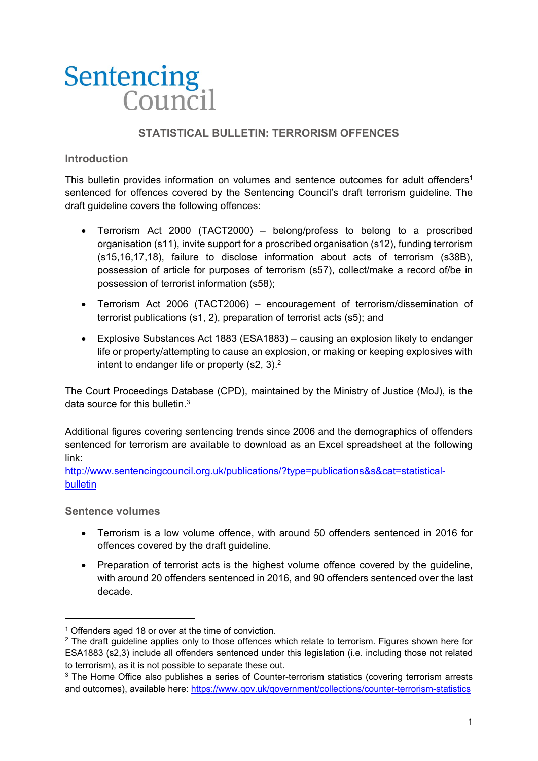# **Sentencing** Counci

# **STATISTICAL BULLETIN: TERRORISM OFFENCES**

## **Introduction**

This bulletin provides information on volumes and sentence outcomes for adult offenders<sup>1</sup> sentenced for offences covered by the Sentencing Council's draft terrorism guideline. The draft guideline covers the following offences:

- Terrorism Act 2000 (TACT2000) belong/profess to belong to a proscribed organisation (s11), invite support for a proscribed organisation (s12), funding terrorism (s15,16,17,18), failure to disclose information about acts of terrorism (s38B), possession of article for purposes of terrorism (s57), collect/make a record of/be in possession of terrorist information (s58);
- Terrorism Act 2006 (TACT2006) encouragement of terrorism/dissemination of terrorist publications (s1, 2), preparation of terrorist acts (s5); and
- Explosive Substances Act 1883 (ESA1883) causing an explosion likely to endanger life or property/attempting to cause an explosion, or making or keeping explosives with intent to endanger life or property (s2, 3).<sup>2</sup>

The Court Proceedings Database (CPD), maintained by the Ministry of Justice (MoJ), is the data source for this bulletin  $3$ 

Additional figures covering sentencing trends since 2006 and the demographics of offenders sentenced for terrorism are available to download as an Excel spreadsheet at the following link:

http://www.sentencingcouncil.org.uk/publications/?type=publications&s&cat=statisticalbulletin

**Sentence volumes** 

- Terrorism is a low volume offence, with around 50 offenders sentenced in 2016 for offences covered by the draft guideline.
- Preparation of terrorist acts is the highest volume offence covered by the quideline, with around 20 offenders sentenced in 2016, and 90 offenders sentenced over the last decade.

<sup>&</sup>lt;sup>1</sup> Offenders aged 18 or over at the time of conviction.

<sup>&</sup>lt;sup>2</sup> The draft quideline applies only to those offences which relate to terrorism. Figures shown here for ESA1883 (s2,3) include all offenders sentenced under this legislation (i.e. including those not related to terrorism), as it is not possible to separate these out.

<sup>&</sup>lt;sup>3</sup> The Home Office also publishes a series of Counter-terrorism statistics (covering terrorism arrests and outcomes), available here: https://www.gov.uk/government/collections/counter-terrorism-statistics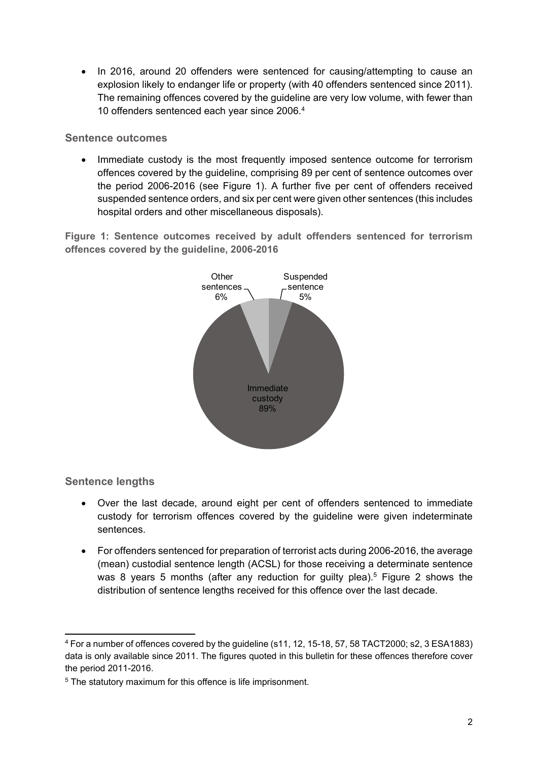• In 2016, around 20 offenders were sentenced for causing/attempting to cause an explosion likely to endanger life or property (with 40 offenders sentenced since 2011). The remaining offences covered by the guideline are very low volume, with fewer than 10 offenders sentenced each year since 2006.4

### **Sentence outcomes**

 Immediate custody is the most frequently imposed sentence outcome for terrorism offences covered by the guideline, comprising 89 per cent of sentence outcomes over the period 2006-2016 (see Figure 1). A further five per cent of offenders received suspended sentence orders, and six per cent were given other sentences (this includes hospital orders and other miscellaneous disposals).

**Figure 1: Sentence outcomes received by adult offenders sentenced for terrorism offences covered by the guideline, 2006-2016** 



# **Sentence lengths**

- Over the last decade, around eight per cent of offenders sentenced to immediate custody for terrorism offences covered by the guideline were given indeterminate sentences.
- For offenders sentenced for preparation of terrorist acts during 2006-2016, the average (mean) custodial sentence length (ACSL) for those receiving a determinate sentence was 8 years 5 months (after any reduction for guilty plea).<sup>5</sup> Figure 2 shows the distribution of sentence lengths received for this offence over the last decade.

 4 For a number of offences covered by the guideline (s11, 12, 15-18, 57, 58 TACT2000; s2, 3 ESA1883) data is only available since 2011. The figures quoted in this bulletin for these offences therefore cover the period 2011-2016.

<sup>&</sup>lt;sup>5</sup> The statutory maximum for this offence is life imprisonment.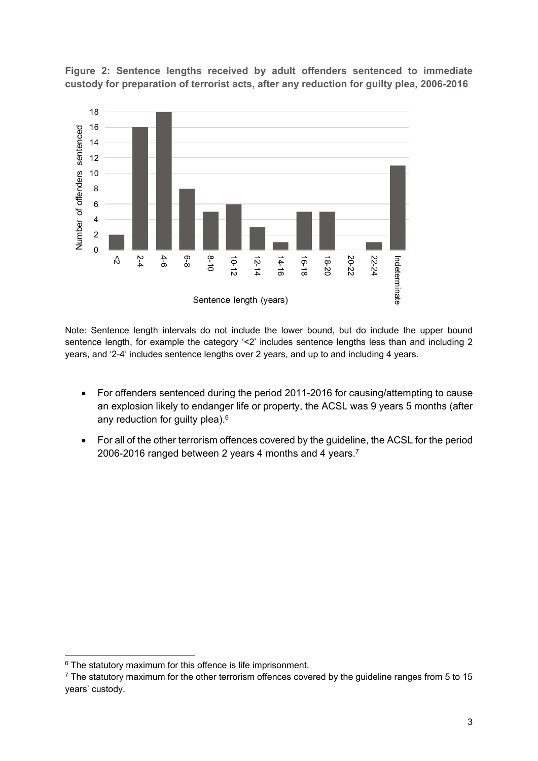

**Figure 2: Sentence lengths received by adult offenders sentenced to immediate custody for preparation of terrorist acts, after any reduction for guilty plea, 2006-2016** 

Note: Sentence length intervals do not include the lower bound, but do include the upper bound sentence length, for example the category '<2' includes sentence lengths less than and including 2 years, and '2-4' includes sentence lengths over 2 years, and up to and including 4 years.

- For offenders sentenced during the period 2011-2016 for causing/attempting to cause an explosion likely to endanger life or property, the ACSL was 9 years 5 months (after any reduction for guilty plea).6
- For all of the other terrorism offences covered by the guideline, the ACSL for the period 2006-2016 ranged between 2 years 4 months and 4 years.7

  $6$  The statutory maximum for this offence is life imprisonment.

 $7$  The statutory maximum for the other terrorism offences covered by the guideline ranges from 5 to 15 years' custody.